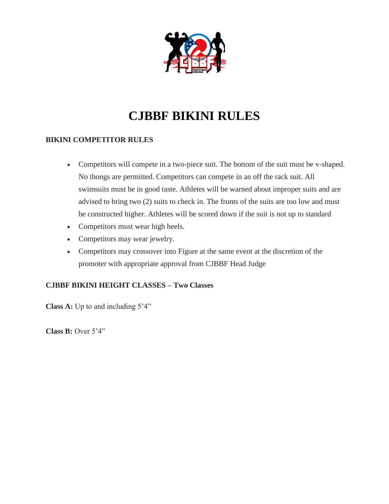

## **CJBBF BIKINI RULES**

### **BIKINI COMPETITOR RULES**

- Competitors will compete in a two-piece suit. The bottom of the suit must be v-shaped. No thongs are permitted. Competitors can compete in an off the rack suit. All swimsuits must be in good taste. Athletes will be warned about improper suits and are advised to bring two (2) suits to check in. The fronts of the suits are too low and must be constructed higher. Athletes will be scored down if the suit is not up to standard
- Competitors must wear high heels.
- Competitors may wear jewelry.
- Competitors may crossover into Figure at the same event at the discretion of the promoter with appropriate approval from CJBBF Head Judge

### **CJBBF BIKINI HEIGHT CLASSES – Two Classes**

**Class A:** Up to and including 5'4"

**Class B:** Over 5'4"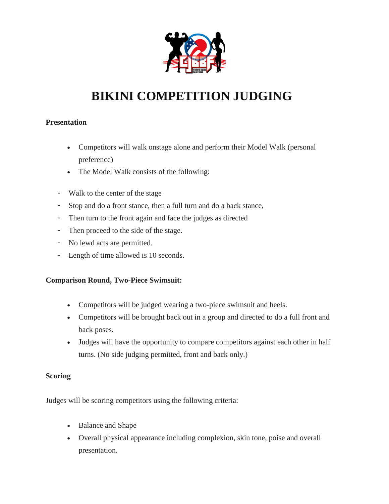

# **BIKINI COMPETITION JUDGING**

### **Presentation**

- Competitors will walk onstage alone and perform their Model Walk (personal preference)
- The Model Walk consists of the following:
- Walk to the center of the stage
- Stop and do a front stance, then a full turn and do a back stance,
- Then turn to the front again and face the judges as directed
- Then proceed to the side of the stage.
- No lewd acts are permitted.
- Length of time allowed is 10 seconds.

### **Comparison Round, Two-Piece Swimsuit:**

- Competitors will be judged wearing a two-piece swimsuit and heels.
- Competitors will be brought back out in a group and directed to do a full front and back poses.
- Judges will have the opportunity to compare competitors against each other in half turns. (No side judging permitted, front and back only.)

#### **Scoring**

Judges will be scoring competitors using the following criteria:

- Balance and Shape
- Overall physical appearance including complexion, skin tone, poise and overall presentation.